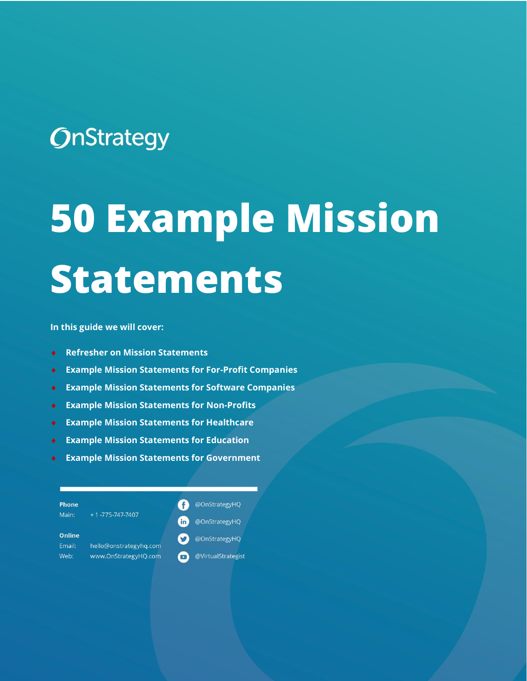## **OnStrategy**

# **50 Example Mission Statements**

**In this guide we will cover:** 

- **Refresher on Mission Statements**
- **Example Mission Statements for For-Profit Companies**
- **Example Mission Statements for Software Companies**
- **Example Mission Statements for Non-Profits**
- **Example Mission Statements for Healthcare**
- **Example Mission Statements for Education**
- **Example Mission Statements for Government**

| <b>Phone</b><br>Main:   | $+1 - 775 - 747 - 7407$ | @OnStrategyHQ       |
|-------------------------|-------------------------|---------------------|
|                         |                         | @OnStrategyHQ<br>in |
| <b>Online</b><br>Email: | hello@onstrategyhg.com  | @OnStrategyHQ       |
| Web:                    | www.OnStrategyHQ.com    | @VirtualStrategist  |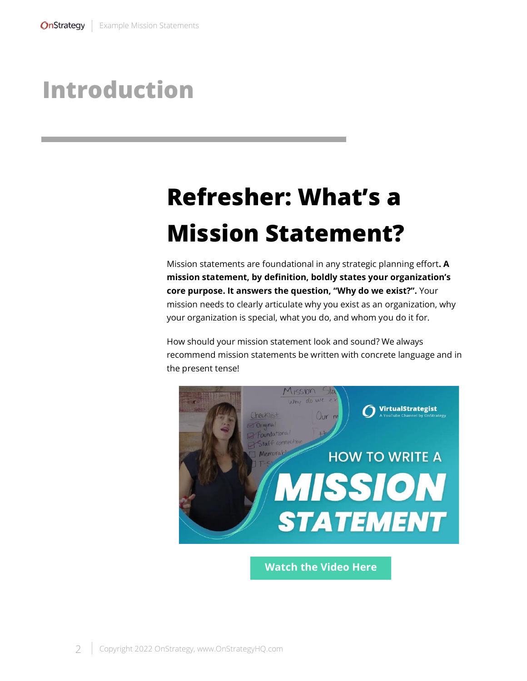### **Introduction**

# **Refresher: What's a Mission Statement?**

Mission statements are foundational in any strategic planning effort**. A mission statement, by definition, boldly states your organization's core purpose. It answers the question, "Why do we exist?".** Your mission needs to clearly articulate why you exist as an organization, why your organization is special, what you do, and whom you do it for.

How should your mission statement look and sound? We always recommend mission statements be written with concrete language and in the present tense!



**[Watch the Video Here](https://youtu.be/1xs4I349cdc)**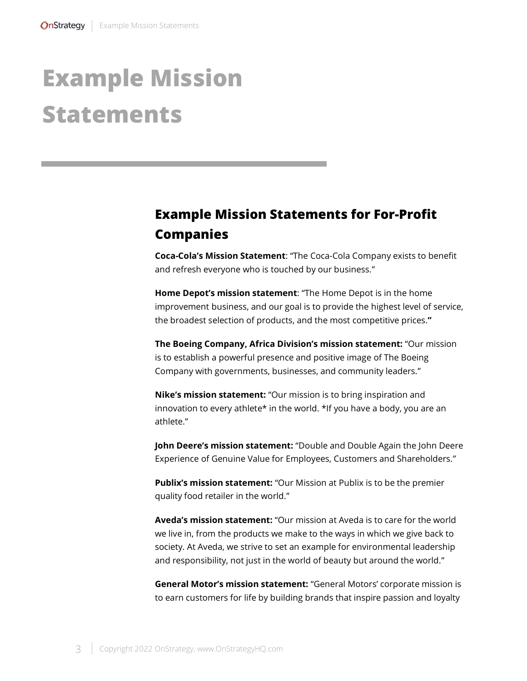## **Example Mission Statements**

#### **Example Mission Statements for For-Profit Companies**

**Coca-Cola's Mission Statement**: "The Coca-Cola Company exists to benefit and refresh everyone who is touched by our business."

**Home Depot's mission statement**: "The Home Depot is in the home improvement business, and our goal is to provide the highest level of service, the broadest selection of products, and the most competitive prices.**"**

**The Boeing Company, Africa Division's mission statement:** "Our mission is to establish a powerful presence and positive image of The Boeing Company with governments, businesses, and community leaders."

**Nike's mission statement:** "Our mission is to bring inspiration and innovation to every athlete\* in the world. \*If you have a body, you are an athlete."

**John Deere's mission statement:** "Double and Double Again the John Deere Experience of Genuine Value for Employees, Customers and Shareholders."

**Publix's mission statement:** "Our Mission at Publix is to be the premier quality food retailer in the world."

**Aveda's mission statement:** "Our mission at Aveda is to care for the world we live in, from the products we make to the ways in which we give back to society. At Aveda, we strive to set an example for environmental leadership and responsibility, not just in the world of beauty but around the world."

**General Motor's mission statement:** "General Motors' corporate mission is to earn customers for life by building brands that inspire passion and loyalty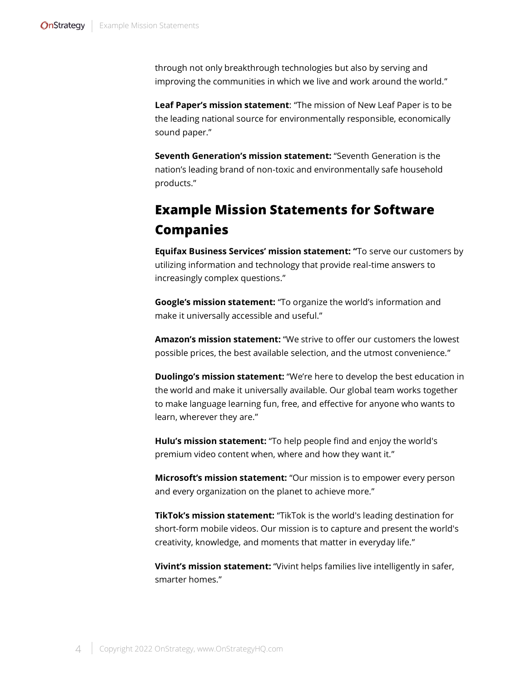through not only breakthrough technologies but also by serving and improving the communities in which we live and work around the world."

**Leaf Paper's mission statement**: "The mission of New Leaf Paper is to be the leading national source for environmentally responsible, economically sound paper."

**Seventh Generation's mission statement:** "Seventh Generation is the nation's leading brand of non-toxic and environmentally safe household products."

#### **Example Mission Statements for Software Companies**

**Equifax Business Services' mission statement: "**To serve our customers by utilizing information and technology that provide real-time answers to increasingly complex questions."

**Google's mission statement:** "To organize the world's information and make it universally accessible and useful."

**Amazon's mission statement:** "We strive to offer our customers the lowest possible prices, the best available selection, and the utmost convenience."

**Duolingo's mission statement:** "We're here to develop the best education in the world and make it universally available. Our global team works together to make language learning fun, free, and [effective](https://www.duolingo.com/efficacy) for anyone who wants to learn, wherever they are."

**Hulu's mission statement:** "To help people find and enjoy the world's premium video content when, where and how they want it."

**Microsoft's mission statement:** "Our mission is to empower every person and every organization on the planet to achieve more."

**TikTok's mission statement:** "TikTok is the world's leading destination for short-form mobile videos. Our mission is to capture and present the world's creativity, knowledge, and moments that matter in everyday life."

**Vivint's mission statement:** "Vivint helps families live intelligently in safer, smarter homes."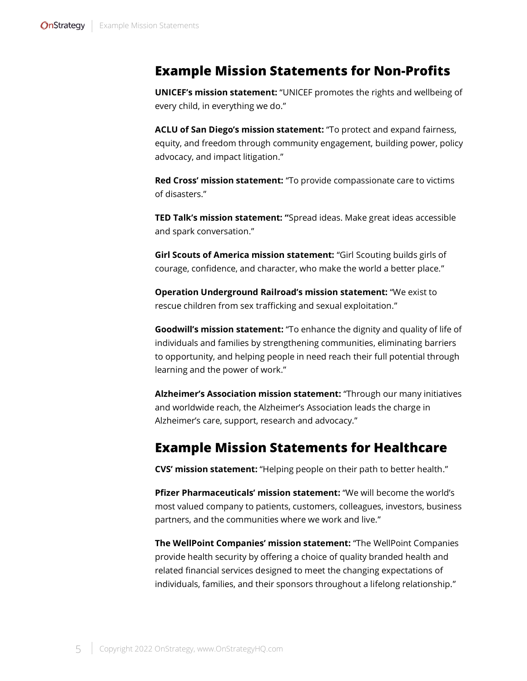#### **Example Mission Statements for Non-Profits**

**UNICEF's mission statement:** "UNICEF promotes the rights and wellbeing of every child, in everything we do."

**ACLU of San Diego's mission statement:** "To protect and expand fairness, equity, and freedom through community engagement, building power, policy advocacy, and impact litigation."

**Red Cross' mission statement:** "To provide compassionate care to victims of disasters."

**TED Talk's mission statement: "**Spread ideas. Make great ideas accessible and spark conversation."

**Girl Scouts of America mission statement:** "Girl Scouting builds girls of courage, confidence, and character, who make the world a better place."

**Operation Underground Railroad's mission statement:** "We exist to rescue children from sex trafficking and sexual exploitation."

**Goodwill's mission statement:** "To enhance the dignity and quality of life of individuals and families by strengthening communities, eliminating barriers to opportunity, and helping people in need reach their full potential through learning and the power of work."

**Alzheimer's Association mission statement:** "Through our many initiatives and worldwide reach, the Alzheimer's Association leads the charge in Alzheimer's care, support, research and advocacy."

#### **Example Mission Statements for Healthcare**

**CVS' mission statement:** "Helping people on their path to better health."

**Pfizer Pharmaceuticals' mission statement:** "We will become the world's most valued company to patients, customers, colleagues, investors, business partners, and the communities where we work and live."

**The WellPoint Companies' mission statement:** "The WellPoint Companies provide health security by offering a choice of quality branded health and related financial services designed to meet the changing expectations of individuals, families, and their sponsors throughout a lifelong relationship."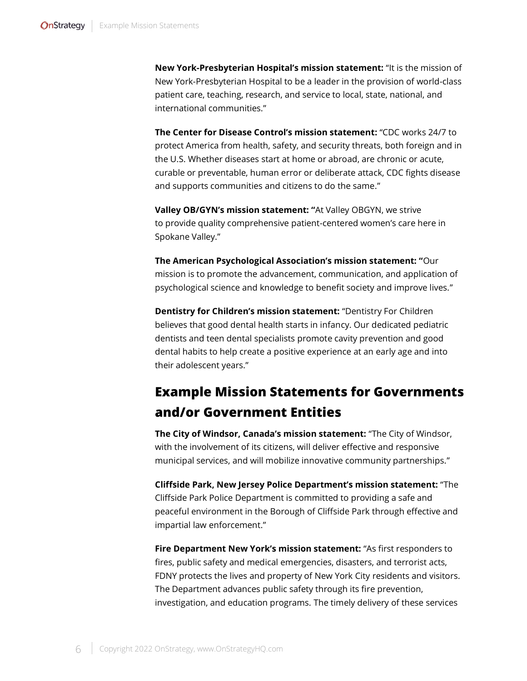**New York-Presbyterian Hospital's mission statement:** "It is the mission of New York-Presbyterian Hospital to be a leader in the provision of world-class patient care, teaching, research, and service to local, state, national, and international communities."

**The Center for Disease Control's mission statement:** "CDC [works 24/7](https://www.cdc.gov/about/24-7/index.html) to protect America from health, safety, and security threats, both foreign and in the U.S. Whether diseases start at home or abroad, are chronic or acute, curable or preventable, human error or deliberate attack, CDC fights disease and supports communities and citizens to do the same."

**Valley OB/GYN's mission statement: "**At Valley OBGYN, we strive to provide quality comprehensive patient-centered women's care here in Spokane Valley."

**The American Psychological Association's mission statement: "**Our mission is to promote the advancement, communication, and application of psychological science and knowledge to benefit society and improve lives."

**Dentistry for Children's mission statement:** "Dentistry For Children believes that good dental health starts in infancy. Our dedicated pediatric dentists and teen dental specialists promote cavity prevention and good dental habits to help create a positive experience at an early age and into their adolescent years."

#### **Example Mission Statements for Governments and/or Government Entities**

**The City of Windsor, Canada's mission statement:** "The City of Windsor, with the involvement of its citizens, will deliver effective and responsive municipal services, and will mobilize innovative community partnerships."

**Cliffside Park, New Jersey Police Department's mission statement:** "The Cliffside Park Police Department is committed to providing a safe and peaceful environment in the Borough of Cliffside Park through effective and impartial law enforcement."

**Fire Department New York's mission statement:** "As first responders to fires, public safety and medical emergencies, disasters, and terrorist acts, FDNY protects the lives and property of New York City residents and visitors. The Department advances public safety through its fire prevention, investigation, and education programs. The timely delivery of these services